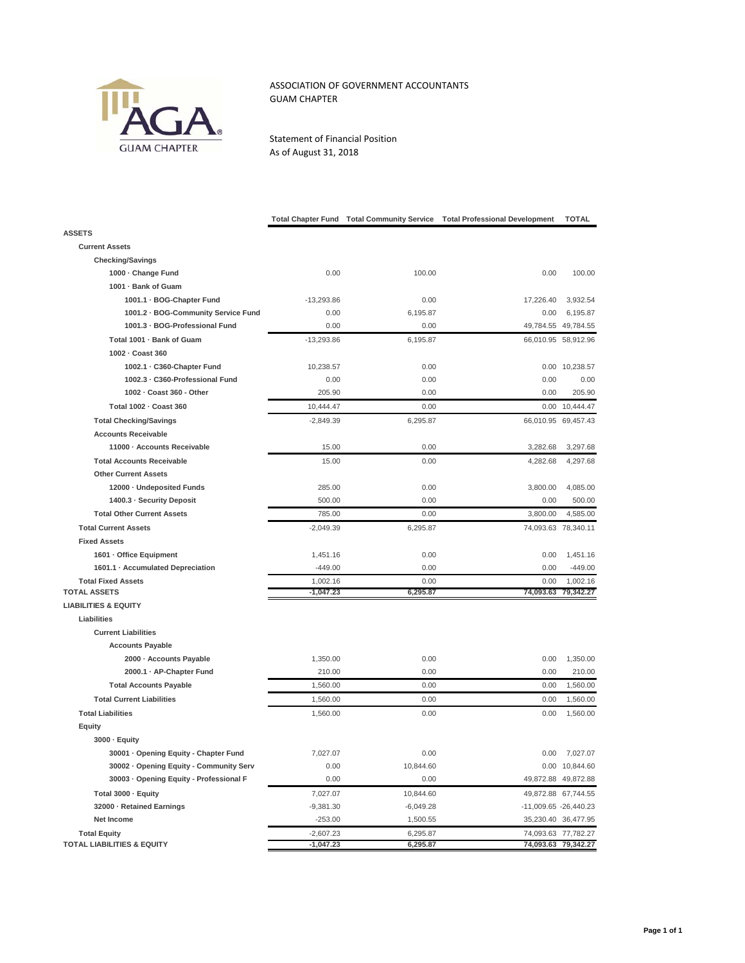

## ASSOCIATION OF GOVERNMENT ACCOUNTANTS GUAM CHAPTER

Statement of Financial Position As of August 31, 2018

|                                         | <b>Total Chapter Fund</b> | <b>Total Community Service</b> | <b>Total Professional Development</b> | TOTAL                 |
|-----------------------------------------|---------------------------|--------------------------------|---------------------------------------|-----------------------|
| <b>ASSETS</b>                           |                           |                                |                                       |                       |
| <b>Current Assets</b>                   |                           |                                |                                       |                       |
| <b>Checking/Savings</b>                 |                           |                                |                                       |                       |
| 1000 · Change Fund                      | 0.00                      | 100.00                         | 0.00                                  | 100.00                |
| 1001 · Bank of Guam                     |                           |                                |                                       |                       |
| 1001.1 · BOG-Chapter Fund               | $-13,293.86$              | 0.00                           | 17,226.40                             | 3,932.54              |
| 1001.2 · BOG-Community Service Fund     | 0.00                      | 6,195.87                       | 0.00                                  | 6,195.87              |
| 1001.3 · BOG-Professional Fund          | 0.00                      | 0.00                           |                                       | 49,784.55 49,784.55   |
| Total 1001 - Bank of Guam               | $-13,293.86$              | 6,195.87                       |                                       | 66,010.95 58,912.96   |
| 1002 - Coast 360                        |                           |                                |                                       |                       |
| 1002.1 · C360-Chapter Fund              | 10,238.57                 | 0.00                           |                                       | 0.00 10,238.57        |
| 1002.3 · C360-Professional Fund         | 0.00                      | 0.00                           | 0.00                                  | 0.00                  |
| 1002 - Coast 360 - Other                | 205.90                    | 0.00                           | 0.00                                  | 205.90                |
| Total 1002 - Coast 360                  | 10,444.47                 | 0.00                           | 0.00                                  | 10,444.47             |
| <b>Total Checking/Savings</b>           | $-2,849.39$               | 6,295.87                       |                                       | 66,010.95 69,457.43   |
| <b>Accounts Receivable</b>              |                           |                                |                                       |                       |
| 11000 · Accounts Receivable             | 15.00                     | 0.00                           | 3,282.68                              | 3,297.68              |
| <b>Total Accounts Receivable</b>        | 15.00                     | 0.00                           | 4,282.68                              | 4,297.68              |
| <b>Other Current Assets</b>             |                           |                                |                                       |                       |
| 12000 · Undeposited Funds               | 285.00                    | 0.00                           | 3,800.00                              | 4,085.00              |
| 1400.3 - Security Deposit               | 500.00                    | 0.00                           | 0.00                                  | 500.00                |
| <b>Total Other Current Assets</b>       | 785.00                    | 0.00                           | 3,800.00                              | 4,585.00              |
| <b>Total Current Assets</b>             | $-2,049.39$               | 6,295.87                       |                                       | 74,093.63 78,340.11   |
| <b>Fixed Assets</b>                     |                           |                                |                                       |                       |
| 1601 - Office Equipment                 | 1,451.16                  | 0.00                           | 0.00                                  | 1,451.16              |
| 1601.1 · Accumulated Depreciation       | $-449.00$                 | 0.00                           | 0.00                                  | $-449.00$             |
| <b>Total Fixed Assets</b>               | 1,002.16                  | 0.00                           | 0.00                                  | 1,002.16              |
| <b>TOTAL ASSETS</b>                     | $-1,047.23$               | 6,295.87                       | 74,093.63                             | 79,342.27             |
| <b>LIABILITIES &amp; EQUITY</b>         |                           |                                |                                       |                       |
| Liabilities                             |                           |                                |                                       |                       |
| <b>Current Liabilities</b>              |                           |                                |                                       |                       |
| <b>Accounts Payable</b>                 |                           |                                |                                       |                       |
| 2000 - Accounts Payable                 | 1,350.00                  | 0.00                           | 0.00                                  | 1.350.00              |
| 2000.1 · AP-Chapter Fund                | 210.00                    | 0.00                           | 0.00                                  | 210.00                |
| <b>Total Accounts Payable</b>           | 1,560.00                  | 0.00                           | 0.00                                  | 1,560.00              |
| <b>Total Current Liabilities</b>        | 1,560.00                  | 0.00                           | 0.00                                  | 1,560.00              |
| <b>Total Liabilities</b>                | 1,560.00                  | 0.00                           | 0.00                                  | 1,560.00              |
| Equity                                  |                           |                                |                                       |                       |
| 3000 · Equity                           |                           |                                |                                       |                       |
| 30001 · Opening Equity - Chapter Fund   | 7,027.07                  | 0.00                           | 0.00                                  | 7,027.07              |
| 30002 · Opening Equity - Community Serv | 0.00                      | 10,844.60                      |                                       | 0.00 10,844.60        |
| 30003 · Opening Equity - Professional F | 0.00                      | 0.00                           |                                       | 49,872.88 49,872.88   |
| Total 3000 · Equity                     | 7,027.07                  | 10,844.60                      |                                       | 49,872.88 67,744.55   |
| 32000 - Retained Earnings               | $-9,381.30$               | $-6,049.28$                    |                                       | -11,009.65 -26,440.23 |
| Net Income                              | $-253.00$                 | 1,500.55                       |                                       | 35,230.40 36,477.95   |
| <b>Total Equity</b>                     | $-2,607.23$               | 6,295.87                       |                                       | 74,093.63 77,782.27   |
| <b>TOTAL LIABILITIES &amp; EQUITY</b>   | $-1,047.23$               | 6,295.87                       |                                       | 74,093.63 79,342.27   |